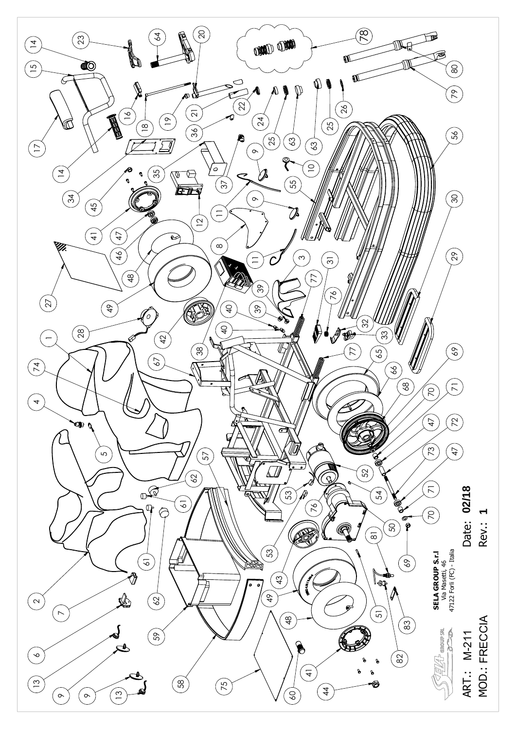